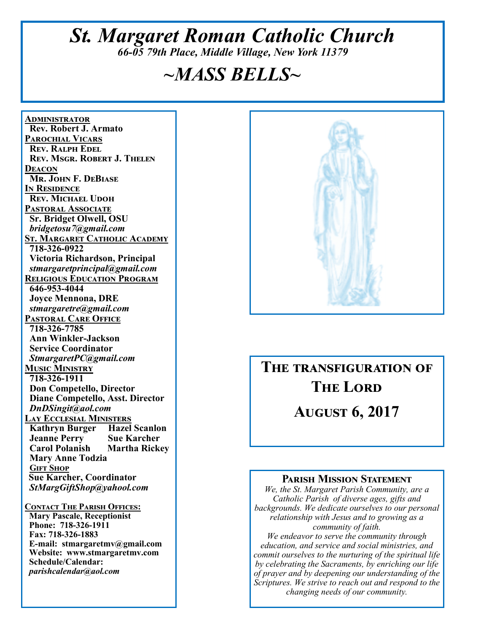# *St. Margaret Roman Catholic Church 66-05 79th Place, Middle Village, New York 11379*

# *~MASS BELLS~*

**<u>ADMINISTRATOR</u> Rev. Robert J. Armato PAROCHIAL VICARS REV. RALPH EDEL REV. MSGR. ROBERT J. THELEN DEACON Mr. John F. DeBiase I**N RESIDENCE **REV. MICHAEL UDOH PASTORAL ASSOCIATE Sr. Bridget Olwell, OSU**   *bridgetosu7@gmail.com*  <u>St. Margaret Catholic Academy</u>  **718-326-0922 Victoria Richardson, Principal**   *stmargaretprincipal@gmail.com*  **RELIGIOUS EDUCATION PROGRAM 646-953-4044 Joyce Mennona, DRE** *stmargaretre@gmail.com*  **PASTORAL CARE OFFICE 718-326-7785 Ann Winkler-Jackson Service Coordinator** *StmargaretPC@gmail.com*  **MUSIC MINISTRY 718-326-1911 Don Competello, Director Diane Competello, Asst. Director** *DnDSingit@aol.com*  **LAY ECCLESIAL MINISTERS**<br>**Kathryn Burger Hazel Scanlon Kathryn Burger Jeanne Perry Sue Karcher Martha Rickey Mary Anne Todzia GIFT SHOP Sue Karcher, Coordinator** *StMargGiftShop@yahool.com*  **CONTACT THE PARISH OFFICES: Mary Pascale, Receptionist** 

 **Phone: 718-326-1911 Fax: 718-326-1883 E-mail: stmargaretmv@gmail.com Website: www.stmargaretmv.com Schedule/Calendar:** *parishcalendar@aol.com* 



THE TRANSFIGURATION OF **THE LORD** 

**AUGUST 6, 2017** 

#### **PARISH MISSION STATEMENT**

*We, the St. Margaret Parish Community, are a Catholic Parish of diverse ages, gifts and backgrounds. We dedicate ourselves to our personal relationship with Jesus and to growing as a community of faith. We endeavor to serve the community through education, and service and social ministries, and* 

*commit ourselves to the nurturing of the spiritual life by celebrating the Sacraments, by enriching our life of prayer and by deepening our understanding of the Scriptures. We strive to reach out and respond to the changing needs of our community.*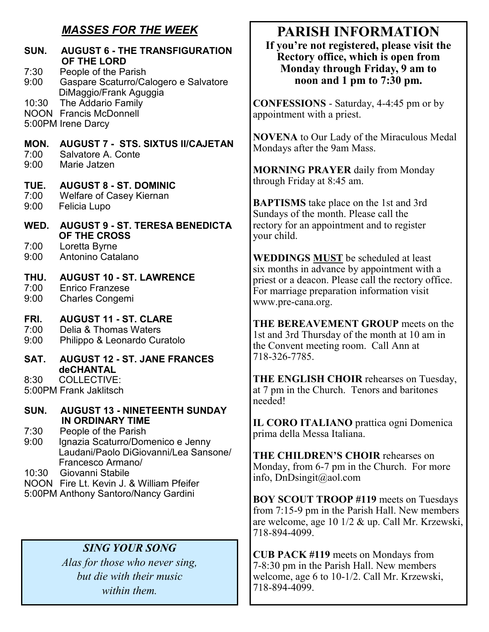# *MASSES FOR THE WEEK*

| SUN.<br>7:30<br>9:00 | <b>AUGUST 6 - THE TRANSFIGURATION</b><br>OF THE LORD<br>People of the Parish<br>Gaspare Scaturro/Calogero e Salvatore<br>DiMaggio/Frank Aguggia<br>The Addario Family<br><b>Francis McDonnell</b><br>5:00PM Irene Darcy |  |
|----------------------|-------------------------------------------------------------------------------------------------------------------------------------------------------------------------------------------------------------------------|--|
| 10:30<br><b>NOON</b> |                                                                                                                                                                                                                         |  |
| MON.<br>7:00<br>9:00 | <b>AUGUST 7 - STS. SIXTUS II/CAJETAN</b><br>Salvatore A. Conte<br>Marie Jatzen                                                                                                                                          |  |
| TUE.<br>7:00<br>9:00 | <b>AUGUST 8 - ST. DOMINIC</b><br><b>Welfare of Casey Kiernan</b><br>Felicia Lupo                                                                                                                                        |  |
|                      | WED. AUGUST 9 - ST. TERESA BENEDICTA                                                                                                                                                                                    |  |
| 7:00<br>9:00         | OF THE CROSS<br>Loretta Byrne<br>Antonino Catalano                                                                                                                                                                      |  |
| THU.<br>7:00<br>9:00 | <b>AUGUST 10 - ST. LAWRENCE</b><br><b>Enrico Franzese</b><br><b>Charles Congemi</b>                                                                                                                                     |  |
| FRI.<br>7:00<br>9:00 | <b>AUGUST 11 - ST. CLARE</b><br>Delia & Thomas Waters<br>Philippo & Leonardo Curatolo                                                                                                                                   |  |
| SAT.                 | <b>AUGUST 12 - ST. JANE FRANCES</b>                                                                                                                                                                                     |  |
| 8:30                 | deCHANTAL<br><b>COLLECTIVE:</b><br>5:00PM Frank Jaklitsch                                                                                                                                                               |  |
| SUN.                 | <b>AUGUST 13 - NINETEENTH SUNDAY</b><br><b>IN ORDINARY TIME</b>                                                                                                                                                         |  |
| 7:30<br>9:00         | People of the Parish<br>Ignazia Scaturro/Domenico e Jenny<br>Laudani/Paolo DiGiovanni/Lea Sansone/<br>Francesco Armano/                                                                                                 |  |
| 10:30                | Giovanni Stabile<br>NOON Fire Lt. Kevin J. & William Pfeifer<br>5:00PM Anthony Santoro/Nancy Gardini                                                                                                                    |  |
|                      |                                                                                                                                                                                                                         |  |

# *SING YOUR SONG*

*Alas for those who never sing, but die with their music within them.* 

# **PARISH INFORMATION**

**If you're not registered, please visit the Rectory office, which is open from Monday through Friday, 9 am to noon and 1 pm to 7:30 pm.** 

**CONFESSIONS** - Saturday, 4-4:45 pm or by appointment with a priest.

**NOVENA** to Our Lady of the Miraculous Medal Mondays after the 9am Mass.

**MORNING PRAYER** daily from Monday through Friday at 8:45 am.

**BAPTISMS** take place on the 1st and 3rd Sundays of the month. Please call the rectory for an appointment and to register your child.

**WEDDINGS MUST** be scheduled at least six months in advance by appointment with a priest or a deacon. Please call the rectory office. For marriage preparation information visit www.pre-cana.org.

**THE BEREAVEMENT GROUP** meets on the 1st and 3rd Thursday of the month at 10 am in the Convent meeting room. Call Ann at 718-326-7785.

**THE ENGLISH CHOIR** rehearses on Tuesday, at 7 pm in the Church. Tenors and baritones needed!

**IL CORO ITALIANO** prattica ogni Domenica prima della Messa Italiana.

**THE CHILDREN'S CHOIR** rehearses on Monday, from 6-7 pm in the Church. For more info, DnDsingit@aol.com

**BOY SCOUT TROOP #119** meets on Tuesdays from 7:15-9 pm in the Parish Hall. New members are welcome, age 10 1/2 & up. Call Mr. Krzewski, 718-894-4099.

**CUB PACK #119** meets on Mondays from 7-8:30 pm in the Parish Hall. New members welcome, age 6 to 10-1/2. Call Mr. Krzewski, 718-894-4099.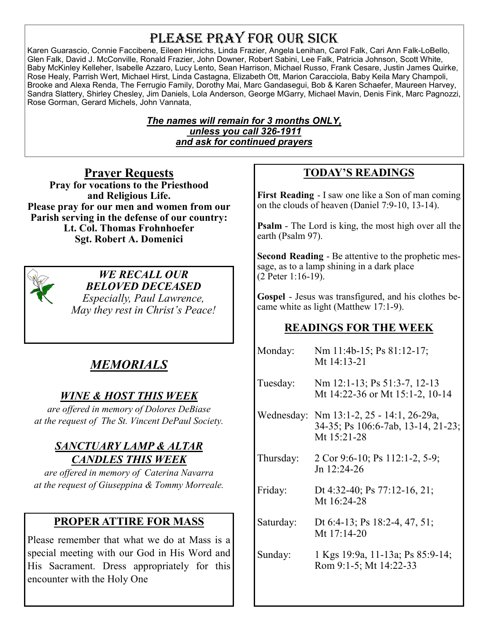# PLEASE PRAY FOR OUR SICK

Karen Guarascio, Connie Faccibene, Eileen Hinrichs, Linda Frazier, Angela Lenihan, Carol Falk, Cari Ann Falk-LoBello, Glen Falk, David J. McConville, Ronald Frazier, John Downer, Robert Sabini, Lee Falk, Patricia Johnson, Scott White, Baby McKinley Kelleher, Isabelle Azzaro, Lucy Lento, Sean Harrison, Michael Russo, Frank Cesare, Justin James Quirke, Rose Healy, Parrish Wert, Michael Hirst, Linda Castagna, Elizabeth Ott, Marion Caracciola, Baby Keila Mary Champoli, Brooke and Alexa Renda, The Ferrugio Family, Dorothy Mai, Marc Gandasegui, Bob & Karen Schaefer, Maureen Harvey, Sandra Slattery, Shirley Chesley, Jim Daniels, Lola Anderson, George MGarry, Michael Mavin, Denis Fink, Marc Pagnozzi, Rose Gorman, Gerard Michels, John Vannata,

> *The names will remain for 3 months ONLY, unless you call 326-1911 and ask for continued prayers*

**Prayer Requests Pray for vocations to the Priesthood and Religious Life. Please pray for our men and women from our Parish serving in the defense of our country: Lt. Col. Thomas Frohnhoefer Sgt. Robert A. Domenici** 



*WE RECALL OUR BELOVED DECEASED Especially, Paul Lawrence, May they rest in Christ's Peace!* 

# *MEMORIALS*

# *WINE & HOST THIS WEEK*

*are offered in memory of Dolores DeBiase at the request of The St. Vincent DePaul Society.* 

### *SANCTUARY LAMP & ALTAR CANDLES THIS WEEK*

*are offered in memory of Caterina Navarra at the request of Giuseppina & Tommy Morreale.* 

### **PROPER ATTIRE FOR MASS**

Please remember that what we do at Mass is a special meeting with our God in His Word and His Sacrament. Dress appropriately for this encounter with the Holy One

# **TODAY'S READINGS**

**First Reading** - I saw one like a Son of man coming on the clouds of heaven (Daniel 7:9-10, 13-14).

**Psalm** - The Lord is king, the most high over all the earth (Psalm 97).

**Second Reading** - Be attentive to the prophetic message, as to a lamp shining in a dark place (2 Peter 1:16-19).

**Gospel** - Jesus was transfigured, and his clothes became white as light (Matthew 17:1-9).

### **READINGS FOR THE WEEK**

| Monday:   | Nm 11:4b-15; Ps 81:12-17;<br>Mt 14:13-21                                                      |  |  |
|-----------|-----------------------------------------------------------------------------------------------|--|--|
| Tuesday:  | Nm 12:1-13; Ps 51:3-7, 12-13<br>Mt 14:22-36 or Mt 15:1-2, 10-14                               |  |  |
|           | Wednesday: Nm 13:1-2, 25 - 14:1, 26-29a,<br>34-35; Ps 106:6-7ab, 13-14, 21-23;<br>Mt 15:21-28 |  |  |
| Thursday: | 2 Cor 9:6-10; Ps 112:1-2, 5-9;<br>Jn 12:24-26                                                 |  |  |
| Friday:   | Dt 4:32-40; Ps 77:12-16, 21;<br>Mt 16:24-28                                                   |  |  |
| Saturday: | Dt 6:4-13; Ps 18:2-4, 47, 51;<br>Mt 17:14-20                                                  |  |  |
| Sunday:   | 1 Kgs 19:9a, 11-13a; Ps 85:9-14;<br>Rom 9:1-5; Mt 14:22-33                                    |  |  |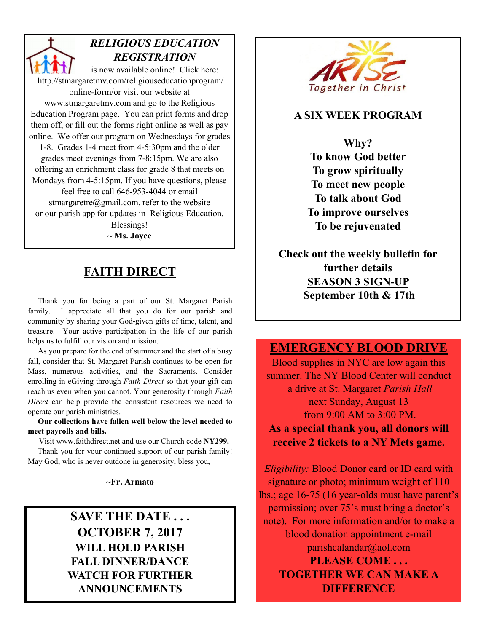*RELIGIOUS EDUCATION REGISTRATION*  is now available online! Click here: http.//stmargaretmv.com/religiouseducationprogram/ online-form/or visit our website at www.stmargaretmv.com and go to the Religious Education Program page. You can print forms and drop them off, or fill out the forms right online as well as pay online. We offer our program on Wednesdays for grades 1-8. Grades 1-4 meet from 4-5:30pm and the older grades meet evenings from 7-8:15pm. We are also offering an enrichment class for grade 8 that meets on Mondays from 4-5:15pm. If you have questions, please feel free to call 646-953-4044 or email stmargaretre@gmail.com, refer to the website or our parish app for updates in Religious Education. Blessings! **~ Ms. Joyce** 

## **FAITH DIRECT**

 Thank you for being a part of our St. Margaret Parish family. I appreciate all that you do for our parish and community by sharing your God-given gifts of time, talent, and treasure. Your active participation in the life of our parish helps us to fulfill our vision and mission.

 As you prepare for the end of summer and the start of a busy fall, consider that St. Margaret Parish continues to be open for Mass, numerous activities, and the Sacraments. Consider enrolling in eGiving through *Faith Direct* so that your gift can reach us even when you cannot. Your generosity through *Faith Direct* can help provide the consistent resources we need to operate our parish ministries.

 **Our collections have fallen well below the level needed to meet payrolls and bills.** 

Visit www.faithdirect.net and use our Church code **NY299.** 

 Thank you for your continued support of our parish family! May God, who is never outdone in generosity, bless you,

**~Fr. Armato** 

# **SAVE THE DATE . . . OCTOBER 7, 2017 WILL HOLD PARISH FALL DINNER/DANCE WATCH FOR FURTHER ANNOUNCEMENTS**



#### **A SIX WEEK PROGRAM**

**Why? To know God better To grow spiritually To meet new people To talk about God To improve ourselves To be rejuvenated** 

**Check out the weekly bulletin for further details SEASON 3 SIGN-UP September 10th & 17th** 

#### **EMERGENCY BLOOD DRIVE**

Blood supplies in NYC are low again this summer. The NY Blood Center will conduct a drive at St. Margaret *Parish Hall*  next Sunday, August 13 from 9:00 AM to 3:00 PM. **As a special thank you, all donors will receive 2 tickets to a NY Mets game.** 

*Eligibility:* Blood Donor card or ID card with signature or photo; minimum weight of 110 lbs.; age 16-75 (16 year-olds must have parent's permission; over 75's must bring a doctor's note). For more information and/or to make a blood donation appointment e-mail parishcalandar@aol.com **PLEASE COME . . . TOGETHER WE CAN MAKE A DIFFERENCE**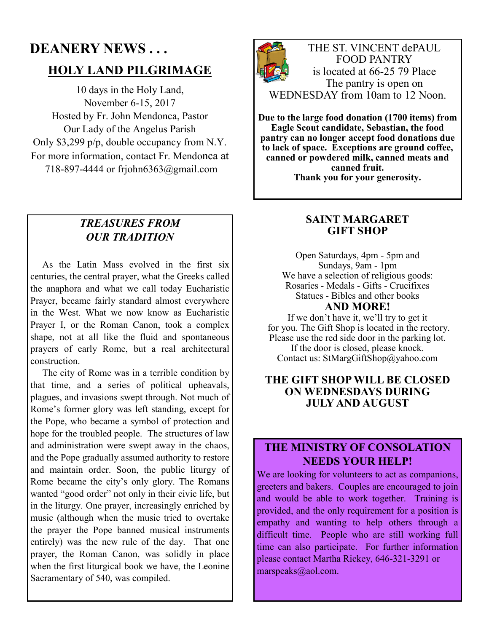# **DEANERY NEWS . . . HOLY LAND PILGRIMAGE**

10 days in the Holy Land, November 6-15, 2017 Hosted by Fr. John Mendonca, Pastor Our Lady of the Angelus Parish Only \$3,299 p/p, double occupancy from N.Y. For more information, contact Fr. Mendonca at 718-897-4444 or frjohn6363@gmail.com

#### *TREASURES FROM OUR TRADITION*

 As the Latin Mass evolved in the first six centuries, the central prayer, what the Greeks called the anaphora and what we call today Eucharistic Prayer, became fairly standard almost everywhere in the West. What we now know as Eucharistic Prayer I, or the Roman Canon, took a complex shape, not at all like the fluid and spontaneous prayers of early Rome, but a real architectural construction.

 The city of Rome was in a terrible condition by that time, and a series of political upheavals, plagues, and invasions swept through. Not much of Rome's former glory was left standing, except for the Pope, who became a symbol of protection and hope for the troubled people. The structures of law and administration were swept away in the chaos, and the Pope gradually assumed authority to restore and maintain order. Soon, the public liturgy of Rome became the city's only glory. The Romans wanted "good order" not only in their civic life, but in the liturgy. One prayer, increasingly enriched by music (although when the music tried to overtake the prayer the Pope banned musical instruments entirely) was the new rule of the day. That one prayer, the Roman Canon, was solidly in place when the first liturgical book we have, the Leonine Sacramentary of 540, was compiled.



THE ST. VINCENT dePAUL FOOD PANTRY is located at 66-25 79 Place The pantry is open on WEDNESDAY from 10am to 12 Noon.

**Due to the large food donation (1700 items) from Eagle Scout candidate, Sebastian, the food pantry can no longer accept food donations due to lack of space. Exceptions are ground coffee, canned or powdered milk, canned meats and canned fruit. Thank you for your generosity.** 

#### **SAINT MARGARET GIFT SHOP**

Open Saturdays, 4pm - 5pm and Sundays, 9am - 1pm We have a selection of religious goods: Rosaries - Medals - Gifts - Crucifixes Statues - Bibles and other books **AND MORE!** 

If we don't have it, we'll try to get it for you. The Gift Shop is located in the rectory. Please use the red side door in the parking lot. If the door is closed, please knock.

Contact us: StMargGiftShop@yahoo.com

#### **THE GIFT SHOP WILL BE CLOSED ON WEDNESDAYS DURING JULY AND AUGUST**

#### **THE MINISTRY OF CONSOLATION NEEDS YOUR HELP!**

We are looking for volunteers to act as companions, greeters and bakers. Couples are encouraged to join and would be able to work together. Training is provided, and the only requirement for a position is empathy and wanting to help others through a difficult time. People who are still working full time can also participate. For further information please contact Martha Rickey, 646-321-3291 or marspeaks@aol.com.